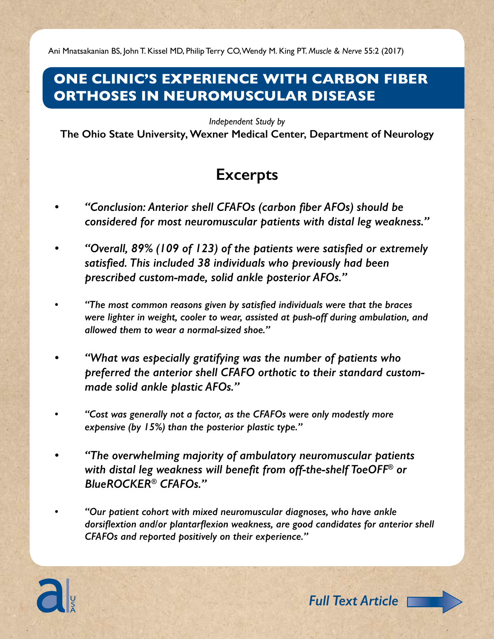Ani Mnatsakanian BS, John T. Kissel MD, Philip Terry CO, Wendy M. King PT. *Muscle & Nerve* 55:2 (2017)

#### **One Clinic's Experience with Carbon Fiber Orthoses in Neuromuscular Disease**

*Independent Study by*

**The Ohio State University, Wexner Medical Center, Department of Neurology**

### **Excerpts**

- *• "Conclusion: Anterior shell CFAFOs (carbon fiber AFOs) should be considered for most neuromuscular patients with distal leg weakness."*
- *• "Overall, 89% (109 of 123) of the patients were satisfied or extremely satisfied. This included 38 individuals who previously had been prescribed custom-made, solid ankle posterior AFOs."*
- *• "The most common reasons given by satisfied individuals were that the braces were lighter in weight, cooler to wear, assisted at push-off during ambulation, and allowed them to wear a normal-sized shoe."*
- *• "What was especially gratifying was the number of patients who preferred the anterior shell CFAFO orthotic to their standard custommade solid ankle plastic AFOs."*
- *• "Cost was generally not a factor, as the CFAFOs were only modestly more expensive (by 15%) than the posterior plastic type."*
- *• "The overwhelming majority of ambulatory neuromuscular patients with distal leg weakness will benefit from off-the-shelf ToeOFF® or BlueROCKER® CFAFOs."*
- *• "Our patient cohort with mixed neuromuscular diagnoses, who have ankle dorsiflextion and/or plantarflexion weakness, are good candidates for anterior shell CFAFOs and reported positively on their experience."*



*Full Text Article*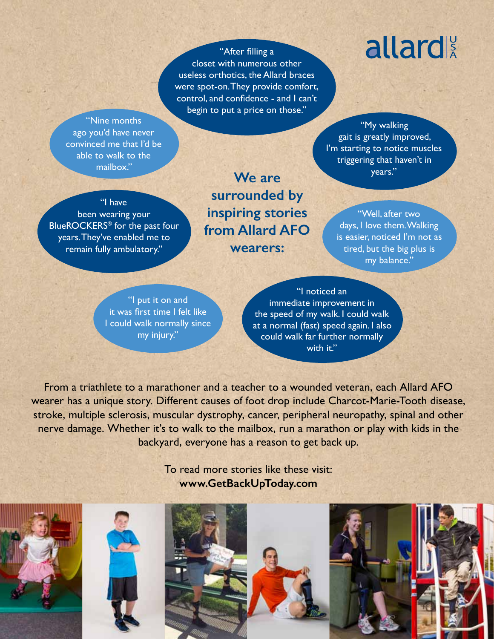"After filling a closet with numerous other useless orthotics, the Allard braces were spot-on. They provide comfort, control, and confidence - and I can't begin to put a price on those."

"Nine months ago you'd have never convinced me that I'd be able to walk to the mailbox."

**We are surrounded by inspiring stories from Allard AFO wearers:**

## allard

"My walking gait is greatly improved, I'm starting to notice muscles triggering that haven't in years."

"Well, after two days, I love them. Walking is easier, noticed I'm not as tired, but the big plus is my balance."

"I have been wearing your BlueROCKERS® for the past four years. They've enabled me to remain fully ambulatory."

"I put it on and

it was first time I felt like I could walk normally since my injury."

"I noticed an immediate improvement in the speed of my walk. I could walk at a normal (fast) speed again. I also could walk far further normally with it."

From a triathlete to a marathoner and a teacher to a wounded veteran, each Allard AFO wearer has a unique story. Different causes of foot drop include Charcot-Marie-Tooth disease, stroke, multiple sclerosis, muscular dystrophy, cancer, peripheral neuropathy, spinal and other nerve damage. Whether it's to walk to the mailbox, run a marathon or play with kids in the backyard, everyone has a reason to get back up.

> To read more stories like these visit: **www.GetBackUpToday.com**

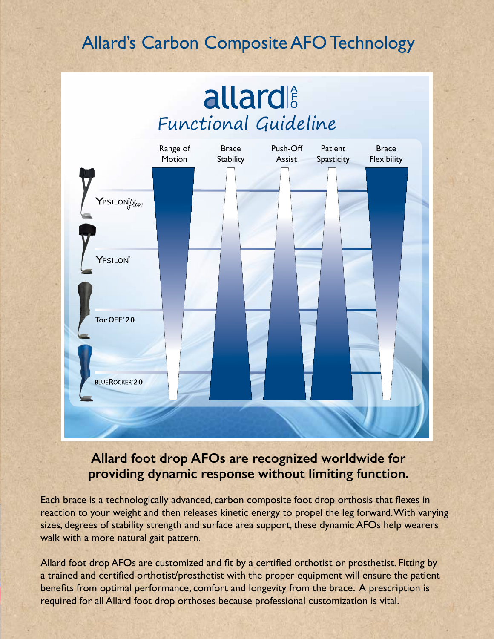## Allard's Carbon Composite AFO Technology

## **allard** Functional Guideline



#### **Allard foot drop AFOs are recognized worldwide for providing dynamic response without limiting function.**

Each brace is a technologically advanced, carbon composite foot drop orthosis that flexes in reaction to your weight and then releases kinetic energy to propel the leg forward. With varying sizes, degrees of stability strength and surface area support, these dynamic AFOs help wearers walk with a more natural gait pattern.

Allard foot drop AFOs are customized and fit by a certified orthotist or prosthetist. Fitting by a trained and certified orthotist/prosthetist with the proper equipment will ensure the patient benefits from optimal performance, comfort and longevity from the brace. A prescription is required for all Allard foot drop orthoses because professional customization is vital.